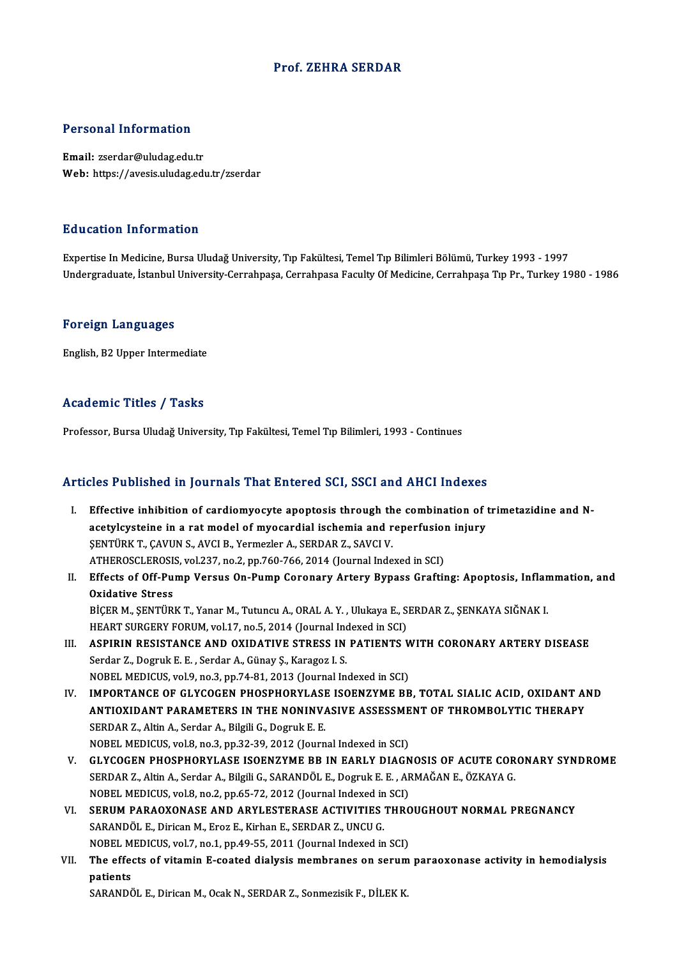## Prof. ZEHRA SERDAR

### Personal Information

Email: zserdar@uludag.edu.tr Web: https://avesis.uludag.edu.tr/zserdar

#### Education Information

Expertise In Medicine, Bursa Uludağ University, Tıp Fakültesi, Temel Tıp Bilimleri Bölümü, Turkey 1993 - 1997 Undergraduate, İstanbul University-Cerrahpaşa, Cerrahpasa Faculty Of Medicine, Cerrahpaşa Tıp Pr., Turkey 1980 - 1986

#### Foreign Languages

English,B2Upper Intermediate

# Academic Titles / Tasks

Professor, Bursa Uludağ University, Tıp Fakültesi, Temel Tıp Bilimleri, 1993 - Continues

# Articles Published in Journals That Entered SCI, SSCI and AHCI Indexes

I. Effective inhibition of cardiomyocyte apoptosis through the combination of trimetazidine and Nactor a action of cardiomyocyte apoptosis through the combination of the step is a ratmodel of myocardial ischemia and reperfusion injury<br>acetylcysteine in a ratmodel of myocardial ischemia and reperfusion injury Effective inhibition of cardiomyocyte apoptosis through the<br>acetylcysteine in a rat model of myocardial ischemia and r<br>ŞENTÜRK T., ÇAVUN S., AVCI B., Yermezler A., SERDAR Z., SAVCI V.<br>ATHEROSCI EROSIS Wel 227 no 2 nn 760 7 acetylcysteine in a rat model of myocardial ischemia and reperfusion<br>ŞENTÜRK T., ÇAVUN S., AVCI B., Yermezler A., SERDAR Z., SAVCI V.<br>ATHEROSCLEROSIS, vol.237, no.2, pp.760-766, 2014 (Journal Indexed in SCI)<br>Effects of Off SENTÜRK T., ÇAVUN S., AVCI B., Yermezler A., SERDAR Z., SAVCI V.<br>ATHEROSCLEROSIS, vol.237, no.2, pp.760-766, 2014 (Journal Indexed in SCI)<br>II. Effects of Off-Pump Versus On-Pump Coronary Artery Bypass Grafting: Apoptosis, ATHEROSCLEROSI:<br>Effects of Off-Pu<br>Oxidative Stress<br>Picep M. SENTUP

Effects of Off-Pump Versus On-Pump Coronary Artery Bypass Grafting: Apoptosis, Infland<br>Oxidative Stress<br>BİÇER M., ŞENTÜRK T., Yanar M., Tutuncu A., ORAL A. Y. , Ulukaya E., SERDAR Z., ŞENKAYA SIĞNAK I.<br>HEAPT SURCERY FORUM Oxidative Stress<br>BİÇER M., ŞENTÜRK T., Yanar M., Tutuncu A., ORAL A. Y. , Ulukaya E., SERDAR Z., ŞENKAYA SIĞNAK I.<br>HEART SURGERY FORUM, vol.17, no.5, 2014 (Journal Indexed in SCI) BİÇER M., ŞENTÜRK T., Yanar M., Tutuncu A., ORAL A. Y. , Ulukaya E., SERDAR Z., ŞENKAYA SIĞNAK I.<br>HEART SURGERY FORUM, vol.17, no.5, 2014 (Journal Indexed in SCI)<br>III. ASPIRIN RESISTANCE AND OXIDATIVE STRESS IN PATIENTS WI

- HEART SURGERY FORUM, vol.17, no.5, 2014 (Journal Inc<br>ASPIRIN RESISTANCE AND OXIDATIVE STRESS IN<br>Serdar Z., Dogruk E. E. , Serdar A., Günay Ş., Karagoz I. S.<br>NOBEL MEDICUS vol.0 no.3, nn.74, 81, 2013 (Journal In ASPIRIN RESISTANCE AND OXIDATIVE STRESS IN PATIENTS W<br>Serdar Z., Dogruk E. E. , Serdar A., Günay Ş., Karagoz I. S.<br>NOBEL MEDICUS, vol.9, no.3, pp.74-81, 2013 (Journal Indexed in SCI)<br>IMBORTANCE OF CLYCOCEN BHOSBHORYLASE IS Serdar Z., Dogruk E. E. , Serdar A., Günay Ş., Karagoz I. S.<br>NOBEL MEDICUS, vol.9, no.3, pp.74-81, 2013 (Journal Indexed in SCI)<br>IV. IMPORTANCE OF GLYCOGEN PHOSPHORYLASE ISOENZYME BB, TOTAL SIALIC ACID, OXIDANT AND<br>ANT
- NOBEL MEDICUS, vol.9, no.3, pp.74-81, 2013 (Journal Indexed in SCI)<br>IMPORTANCE OF GLYCOGEN PHOSPHORYLASE ISOENZYME BB, TOTAL SIALIC ACID, OXIDANT AI<br>ANTIOXIDANT PARAMETERS IN THE NONINVASIVE ASSESSMENT OF THROMBOLYTIC THER SERDAR Z., Altin A., Serdar A., Bilgili G., Dogruk E. E.<br>NOBEL MEDICUS, vol.8, no.3, pp.32-39, 2012 (Journal Indexed in SCI) ANTIOXIDANT PARAMETERS IN THE NONINVASIVE ASSESSMENT OF THROMBOLYTIC THERAPY
- V. GLYCOGEN PHOSPHORYLASE ISOENZYME BB IN EARLY DIAGNOSIS OF ACUTE CORONARY SYNDROME NOBEL MEDICUS, vol.8, no.3, pp.32-39, 2012 (Journal Indexed in SCI)<br>GLYCOGEN PHOSPHORYLASE ISOENZYME BB IN EARLY DIAGNOSIS OF ACUTE COR<br>SERDAR Z., Altin A., Serdar A., Bilgili G., SARANDÖL E., Dogruk E. E. , ARMAĞAN E., ÖZ GLYCOGEN PHOSPHORYLASE ISOENZYME BB IN EARLY DIAGN<br>SERDAR Z., Altin A., Serdar A., Bilgili G., SARANDÖL E., Dogruk E. E. , AF<br>NOBEL MEDICUS, vol.8, no.2, pp.65-72, 2012 (Journal Indexed in SCI)<br>SERIJM RARAOYONASE AND ARVI SERDAR Z., Altin A., Serdar A., Bilgili G., SARANDÖL E., Dogruk E. E. , ARMAĞAN E., ÖZKAYA G.<br>NOBEL MEDICUS, vol.8, no.2, pp.65-72, 2012 (Journal Indexed in SCI)<br>VI. SERUM PARAOXONASE AND ARYLESTERASE ACTIVITIES THROUGHOUT
- NOBEL MEDICUS, vol.8, no.2, pp.65-72, 2012 (Journal Indexed in SCI)<br>VI. SERUM PARAOXONASE AND ARYLESTERASE ACTIVITIES THROUGHOUT NORMAL PREGNANCY<br>SARANDÖL E., Dirican M., Eroz E., Kirhan E., SERDAR Z., UNCU G. SERUM PARAOXONASE AND ARYLESTERASE ACTIVITIES THRC<br>SARANDÖL E., Dirican M., Eroz E., Kirhan E., SERDAR Z., UNCU G.<br>NOBEL MEDICUS, vol.7, no.1, pp.49-55, 2011 (Journal Indexed in SCI)<br>The effects of uitamin E seated dialysi SARANDÖL E., Dirican M., Eroz E., Kirhan E., SERDAR Z., UNCU G.<br>NOBEL MEDICUS, vol.7, no.1, pp.49-55, 2011 (Journal Indexed in SCI)<br>VII. The effects of vitamin E-coated dialysis membranes on serum paraoxonase activity
- NOBEL M<br>The effee<br>patients<br>SARANDO The effects of vitamin E-coated dialysis membranes on serum<br>patients<br>SARANDÖL E., Dirican M., Ocak N., SERDAR Z., Sonmezisik F., DİLEK K.